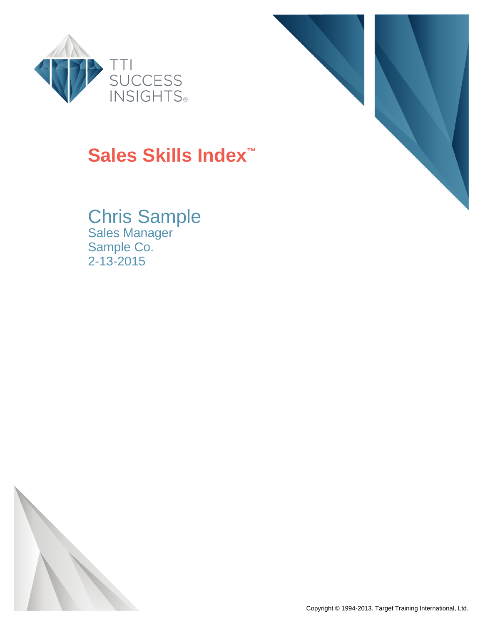

# **Sales Skills Index™**

Chris Sample Sales Manager Sample Co. 2-13-2015



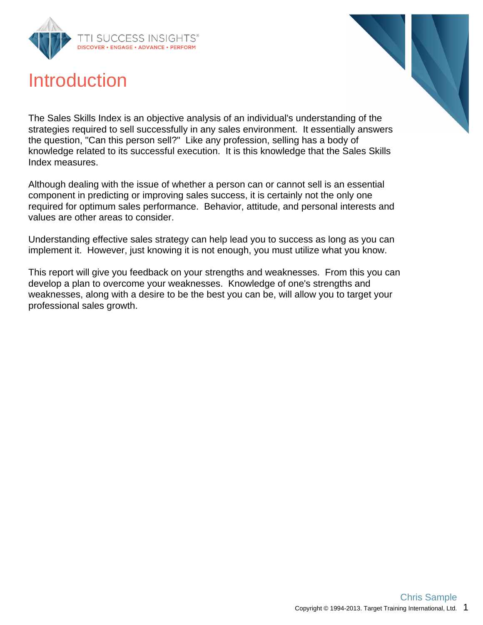

## Introduction

The Sales Skills Index is an objective analysis of an individual's understanding of the strategies required to sell successfully in any sales environment. It essentially answers the question, "Can this person sell?" Like any profession, selling has a body of knowledge related to its successful execution. It is this knowledge that the Sales Skills Index measures.

Although dealing with the issue of whether a person can or cannot sell is an essential component in predicting or improving sales success, it is certainly not the only one required for optimum sales performance. Behavior, attitude, and personal interests and values are other areas to consider.

Understanding effective sales strategy can help lead you to success as long as you can implement it. However, just knowing it is not enough, you must utilize what you know.

This report will give you feedback on your strengths and weaknesses. From this you can develop a plan to overcome your weaknesses. Knowledge of one's strengths and weaknesses, along with a desire to be the best you can be, will allow you to target your professional sales growth.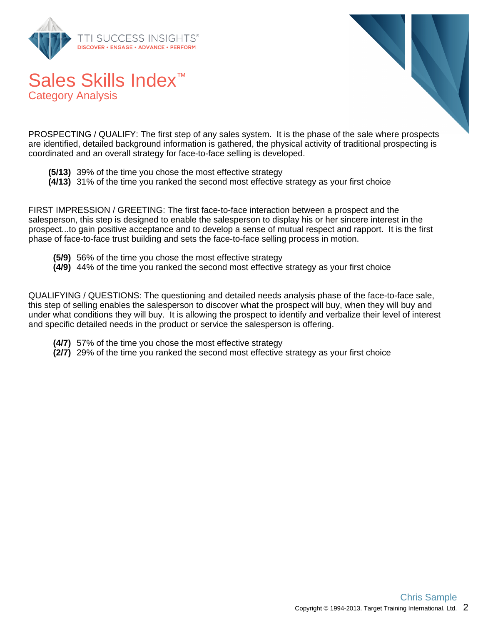

Category Analysis



PROSPECTING / QUALIFY: The first step of any sales system. It is the phase of the sale where prospects are identified, detailed background information is gathered, the physical activity of traditional prospecting is coordinated and an overall strategy for face-to-face selling is developed.

- **(5/13)** 39% of the time you chose the most effective strategy
- **(4/13)** 31% of the time you ranked the second most effective strategy as your first choice

FIRST IMPRESSION / GREETING: The first face-to-face interaction between a prospect and the salesperson, this step is designed to enable the salesperson to display his or her sincere interest in the prospect...to gain positive acceptance and to develop a sense of mutual respect and rapport. It is the first phase of face-to-face trust building and sets the face-to-face selling process in motion.

- **(5/9)** 56% of the time you chose the most effective strategy
- **(4/9)** 44% of the time you ranked the second most effective strategy as your first choice

QUALIFYING / QUESTIONS: The questioning and detailed needs analysis phase of the face-to-face sale, this step of selling enables the salesperson to discover what the prospect will buy, when they will buy and under what conditions they will buy. It is allowing the prospect to identify and verbalize their level of interest and specific detailed needs in the product or service the salesperson is offering.

- **(4/7)** 57% of the time you chose the most effective strategy
- **(2/7)** 29% of the time you ranked the second most effective strategy as your first choice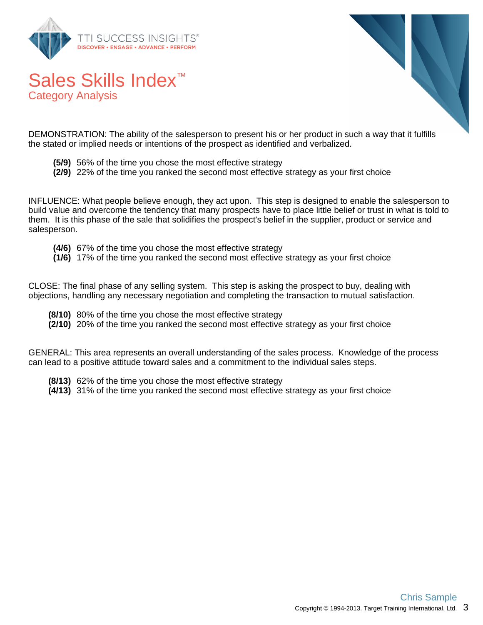

Category Analysis



DEMONSTRATION: The ability of the salesperson to present his or her product in such a way that it fulfills the stated or implied needs or intentions of the prospect as identified and verbalized.

- **(5/9)** 56% of the time you chose the most effective strategy
- **(2/9)** 22% of the time you ranked the second most effective strategy as your first choice

INFLUENCE: What people believe enough, they act upon. This step is designed to enable the salesperson to build value and overcome the tendency that many prospects have to place little belief or trust in what is told to them. It is this phase of the sale that solidifies the prospect's belief in the supplier, product or service and salesperson.

- **(4/6)** 67% of the time you chose the most effective strategy
- **(1/6)** 17% of the time you ranked the second most effective strategy as your first choice

CLOSE: The final phase of any selling system. This step is asking the prospect to buy, dealing with objections, handling any necessary negotiation and completing the transaction to mutual satisfaction.

- **(8/10)** 80% of the time you chose the most effective strategy
- **(2/10)** 20% of the time you ranked the second most effective strategy as your first choice

GENERAL: This area represents an overall understanding of the sales process. Knowledge of the process can lead to a positive attitude toward sales and a commitment to the individual sales steps.

- **(8/13)** 62% of the time you chose the most effective strategy
- **(4/13)** 31% of the time you ranked the second most effective strategy as your first choice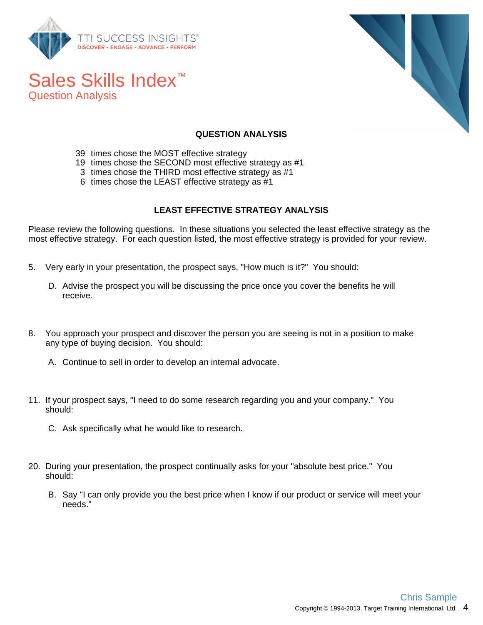

Question Analysis



#### **QUESTION ANALYSIS**

- 39 times chose the MOST effective strategy
- 19 times chose the SECOND most effective strategy as #1
- 3 times chose the THIRD most effective strategy as #1
- 6 times chose the LEAST effective strategy as #1

#### **LEAST EFFECTIVE STRATEGY ANALYSIS**

Please review the following questions. In these situations you selected the least effective strategy as the most effective strategy. For each question listed, the most effective strategy is provided for your review.

- 5. Very early in your presentation, the prospect says, "How much is it?" You should:
	- D. Advise the prospect you will be discussing the price once you cover the benefits he will receive.
- 8. You approach your prospect and discover the person you are seeing is not in a position to make any type of buying decision. You should:
	- A. Continue to sell in order to develop an internal advocate.
- 11. If your prospect says, "I need to do some research regarding you and your company." You should:
	- C. Ask specifically what he would like to research.
- 20. During your presentation, the prospect continually asks for your "absolute best price." You should:
	- B. Say "I can only provide you the best price when I know if our product or service will meet your needs."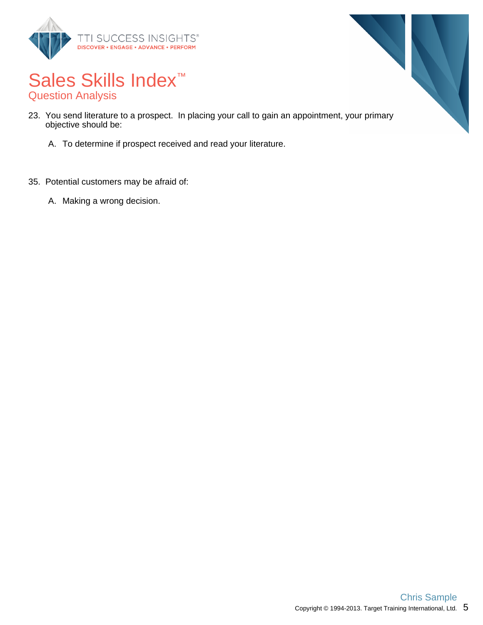



## Sales Skills Index<sup>™</sup> Question Analysis

- 23. You send literature to a prospect. In placing your call to gain an appointment, your primary objective should be:
	- A. To determine if prospect received and read your literature.
- 35. Potential customers may be afraid of:
	- A. Making a wrong decision.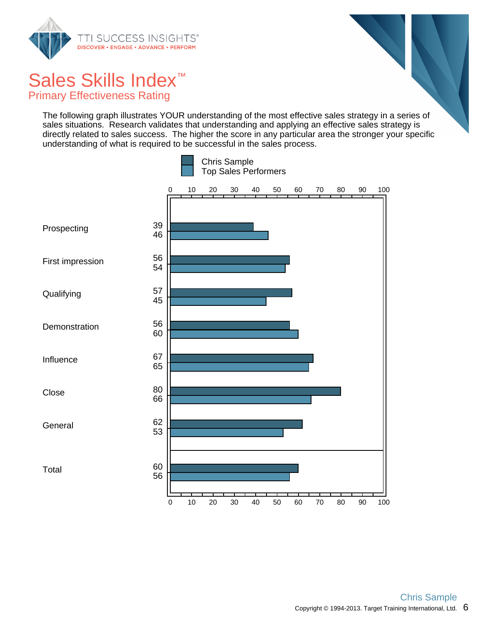

Primary Effectiveness Rating

The following graph illustrates YOUR understanding of the most effective sales strategy in a series of sales situations. Research validates that understanding and applying an effective sales strategy is directly related to sales success. The higher the score in any particular area the stronger your specific understanding of what is required to be successful in the sales process.

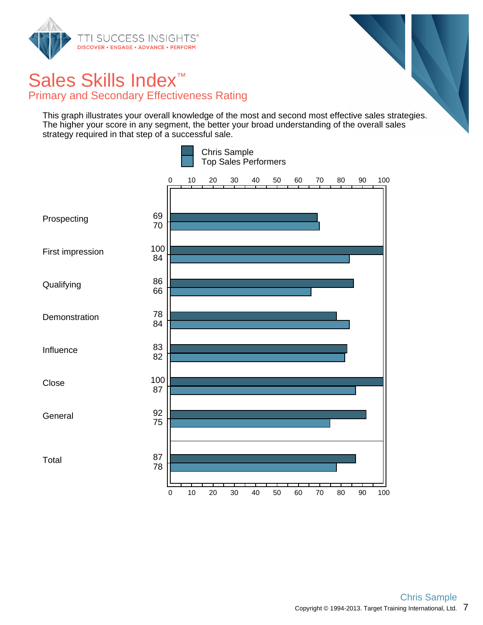

## Sales Skills Index<sup>™</sup> Primary and Secondary Effectiveness Rating

This graph illustrates your overall knowledge of the most and second most effective sales strategies. The higher your score in any segment, the better your broad understanding of the overall sales strategy required in that step of a successful sale.